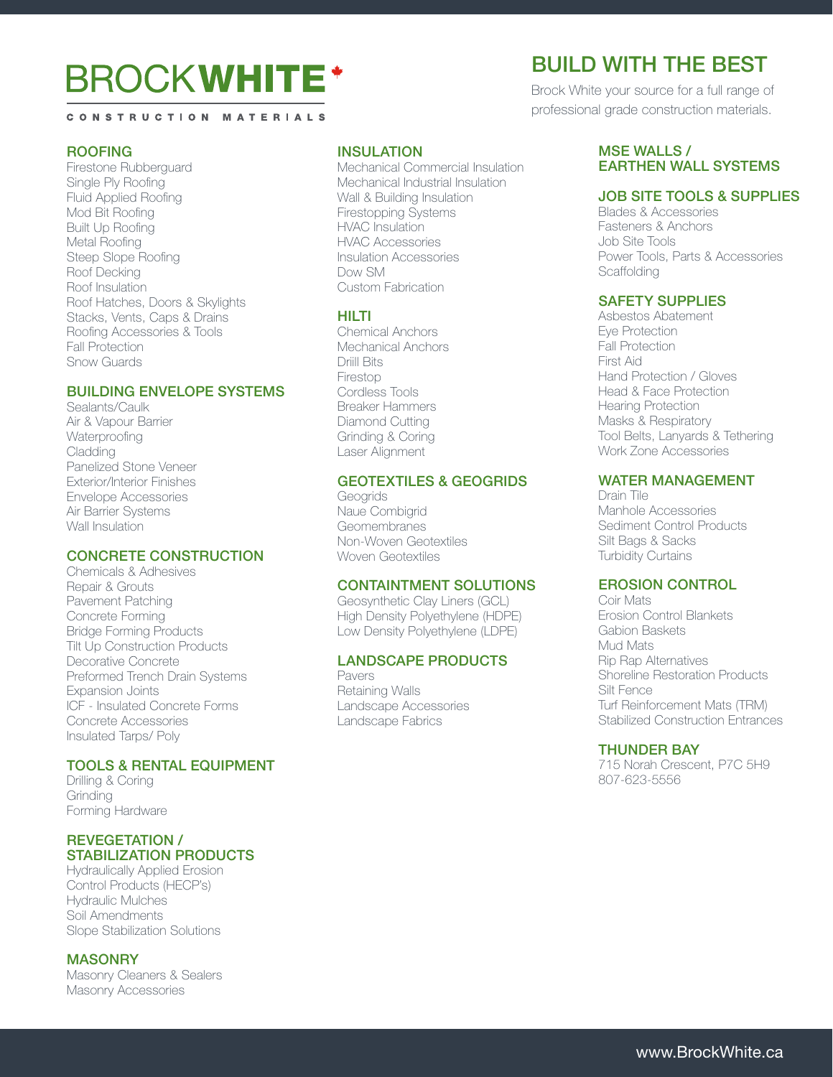# **BROCKWHITE\***

#### CONSTRUCTION MATERIALS

#### ROOFING

Firestone Rubberguard Single Ply Roofing Fluid Applied Roofing Mod Bit Roofing Built Up Roofing Metal Roofing Steep Slope Roofing Roof Decking Roof Insulation Roof Hatches, Doors & Skylights Stacks, Vents, Caps & Drains Roofing Accessories & Tools Fall Protection Snow Guards

# BUILDING ENVELOPE SYSTEMS

Sealants/Caulk Air & Vapour Barrier **Waterproofing** Cladding Panelized Stone Veneer Exterior/Interior Finishes Envelope Accessories Air Barrier Systems Wall Insulation

# CONCRETE CONSTRUCTION

Chemicals & Adhesives Repair & Grouts Pavement Patching Concrete Forming Bridge Forming Products Tilt Up Construction Products Decorative Concrete Preformed Trench Drain Systems Expansion Joints ICF - Insulated Concrete Forms Concrete Accessories Insulated Tarps/ Poly

#### TOOLS & RENTAL EQUIPMENT

Drilling & Coring **Grinding** Forming Hardware

#### REVEGETATION / STABILIZATION PRODUCTS

Hydraulically Applied Erosion Control Products (HECP's) Hydraulic Mulches Soil Amendments Slope Stabilization Solutions

# **MASONRY**

Masonry Cleaners & Sealers Masonry Accessories

# INSULATION

Mechanical Commercial Insulation Mechanical Industrial Insulation Wall & Building Insulation Firestopping Systems HVAC Insulation HVAC Accessories Insulation Accessories Dow SM Custom Fabrication

#### HILTI

Chemical Anchors Mechanical Anchors Driill Bits Firestop Cordless Tools Breaker Hammers Diamond Cutting Grinding & Coring Laser Alignment

# GEOTEXTILES & GEOGRIDS

**Geogrids** Naue Combigrid **Geomembranes** Non-Woven Geotextiles Woven Geotextiles

#### CONTAINTMENT SOLUTIONS

Geosynthetic Clay Liners (GCL) High Density Polyethylene (HDPE) Low Density Polyethylene (LDPE)

#### LANDSCAPE PRODUCTS

Pavers Retaining Walls Landscape Accessories Landscape Fabrics

# BUILD WITH THE BEST

Brock White your source for a full range of professional grade construction materials.

# MSF WALLS / EARTHEN WALL SYSTEMS

#### JOB SITE TOOLS & SUPPLIES

Blades & Accessories Fasteners & Anchors Job Site Tools Power Tools, Parts & Accessories **Scaffolding** 

### SAFETY SUPPLIES

Asbestos Abatement Eye Protection Fall Protection First Aid Hand Protection / Gloves Head & Face Protection Hearing Protection Masks & Respiratory Tool Belts, Lanyards & Tethering Work Zone Accessories

# WATER MANAGEMENT

Drain Tile Manhole Accessories Sediment Control Products Silt Bags & Sacks Turbidity Curtains

# EROSION CONTROL

Coir Mats Erosion Control Blankets Gabion Baskets Mud Mats Rip Rap Alternatives Shoreline Restoration Products Silt Fence Turf Reinforcement Mats (TRM) Stabilized Construction Entrances

#### THUNDER BAY

715 Norah Crescent, P7C 5H9 807-623-5556